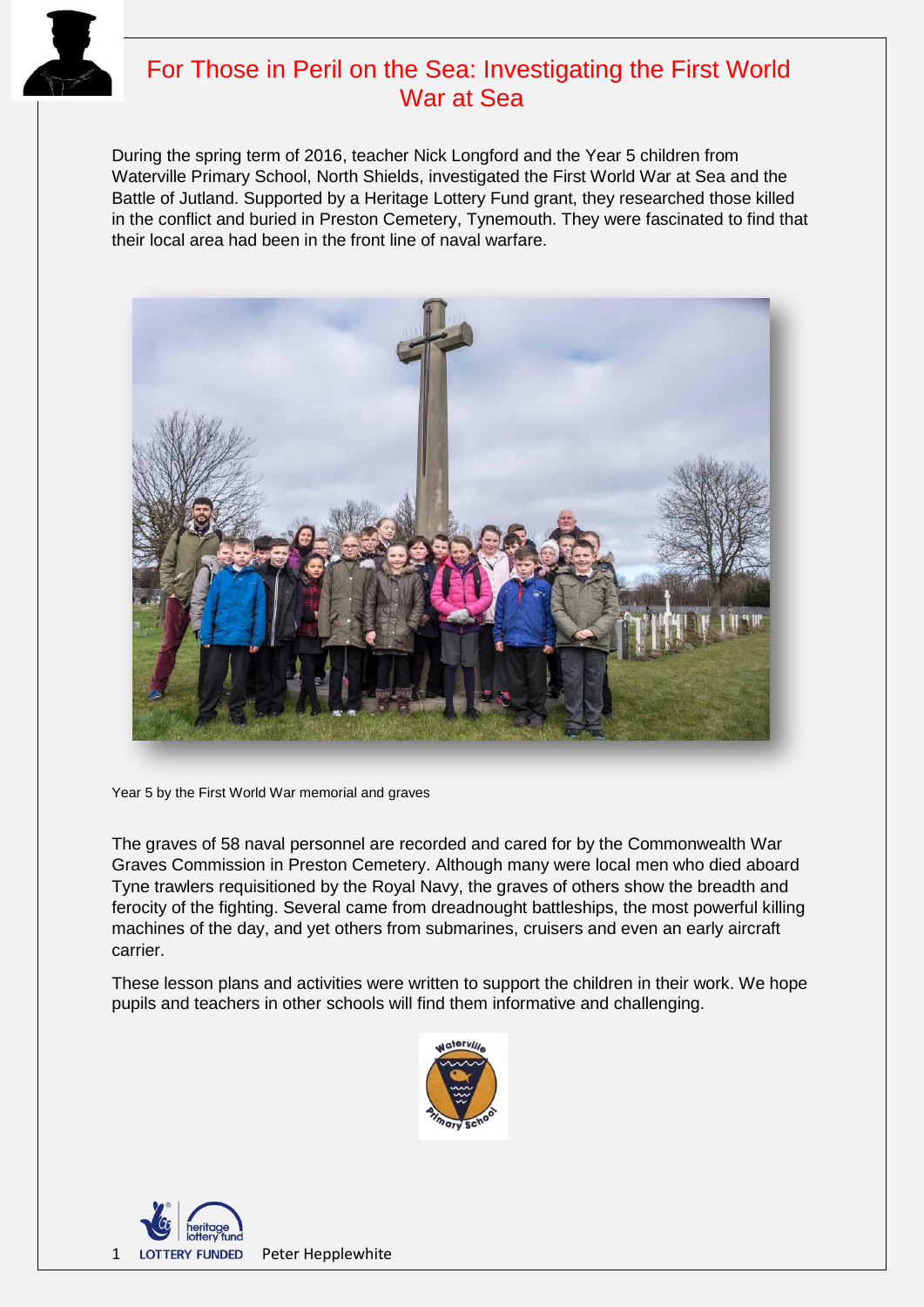

# For Those in Peril on the Sea: Investigating the First World War at Sea

During the spring term of 2016, teacher Nick Longford and the Year 5 children from Waterville Primary School, North Shields, investigated the First World War at Sea and the Battle of Jutland. Supported by a Heritage Lottery Fund grant, they researched those killed in the conflict and buried in Preston Cemetery, Tynemouth. They were fascinated to find that their local area had been in the front line of naval warfare.



Year 5 by the First World War memorial and graves

The graves of 58 naval personnel are recorded and cared for by the Commonwealth War Graves Commission in Preston Cemetery. Although many were local men who died aboard Tyne trawlers requisitioned by the Royal Navy, the graves of others show the breadth and ferocity of the fighting. Several came from dreadnought battleships, the most powerful killing machines of the day, and yet others from submarines, cruisers and even an early aircraft carrier.

These lesson plans and activities were written to support the children in their work. We hope pupils and teachers in other schools will find them informative and challenging.